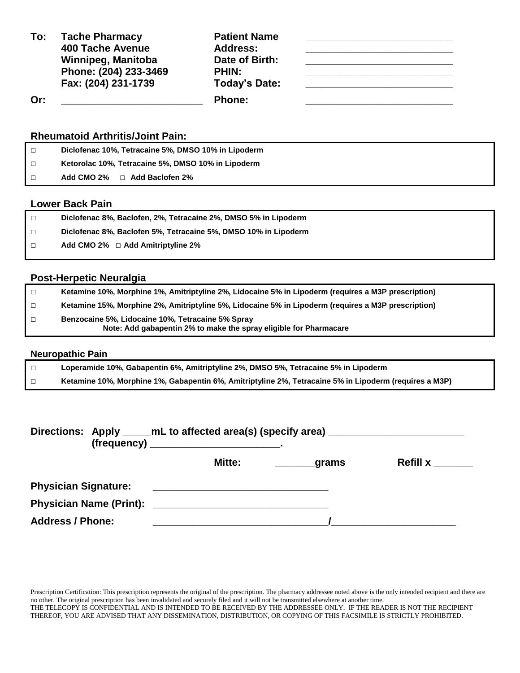| To: | <b>Tache Pharmacy</b><br>400 Tache Avenue<br>Winnipeg, Manitoba | <b>Patient Name</b><br><b>Address:</b><br>Date of Birth: |  |
|-----|-----------------------------------------------------------------|----------------------------------------------------------|--|
|     | Phone: (204) 233-3469<br>Fax: (204) 231-1739                    | <b>PHIN:</b><br>Today's Date:                            |  |
| Or: |                                                                 | <b>Phone:</b>                                            |  |

## **Rheumatoid Arthritis/Joint Pain:**

| Diclofenac 10%, Tetracaine 5%, DMSO 10% in Lipoderm |
|-----------------------------------------------------|
| Ketorolac 10%, Tetracaine 5%, DMSO 10% in Lipoderm  |
| Add CMO 2% $\Box$ Add Baclofen 2%                   |

## **Lower Back Pain**

| Diclofenac 8%, Baclofen, 2%, Tetracaine 2%, DMSO 5% in Lipoderm |
|-----------------------------------------------------------------|
| Diclofenac 8%, Baclofen 5%, Tetracaine 5%, DMSO 10% in Lipoderm |
| Add CMO 2% $\Box$ Add Amitriptyline 2%                          |
|                                                                 |

## **Post-Herpetic Neuralgia**

| $\Box$ | Ketamine 10%, Morphine 1%, Amitriptyline 2%, Lidocaine 5% in Lipoderm (requires a M3P prescription)                    |
|--------|------------------------------------------------------------------------------------------------------------------------|
| $\Box$ | Ketamine 15%, Morphine 2%, Amitriptyline 5%, Lidocaine 5% in Lipoderm (requires a M3P prescription)                    |
| $\Box$ | Benzocaine 5%, Lidocaine 10%, Tetracaine 5% Spray<br>Note: Add gabapentin 2% to make the spray eligible for Pharmacare |

#### **Neuropathic Pain**

| Loperamide 10%, Gabapentin 6%, Amitriptyline 2%, DMSO 5%, Tetracaine 5% in Lipoderm                    |
|--------------------------------------------------------------------------------------------------------|
| Ketamine 10%, Morphine 1%, Gabapentin 6%, Amitriptyline 2%, Tetracaine 5% in Lipoderm (requires a M3P) |

|                             | Directions: Apply _____mL to affected area(s) (specify area) ___________________                                     |       |                 |  |  |
|-----------------------------|----------------------------------------------------------------------------------------------------------------------|-------|-----------------|--|--|
|                             | <b>Mitte:</b>                                                                                                        | grams | <b>Refill x</b> |  |  |
| <b>Physician Signature:</b> | <u> 1989 - Jan Barbara, maso a seria da contra a contra de la contra de la contra de la contra de la contra de l</u> |       |                 |  |  |
|                             |                                                                                                                      |       |                 |  |  |
| <b>Address / Phone:</b>     |                                                                                                                      |       |                 |  |  |

Prescription Certification: This prescription represents the original of the prescription. The pharmacy addressee noted above is the only intended recipient and there are no other. The original prescription has been invalidated and securely filed and it will not be transmitted elsewhere at another time. THE TELECOPY IS CONFIDENTIAL AND IS INTENDED TO BE RECEIVED BY THE ADDRESSEE ONLY. IF THE READER IS NOT THE RECIPIENT THEREOF, YOU ARE ADVISED THAT ANY DISSEMINATION, DISTRIBUTION, OR COPYING OF THIS FACSIMILE IS STRICTLY PROHIBITED.